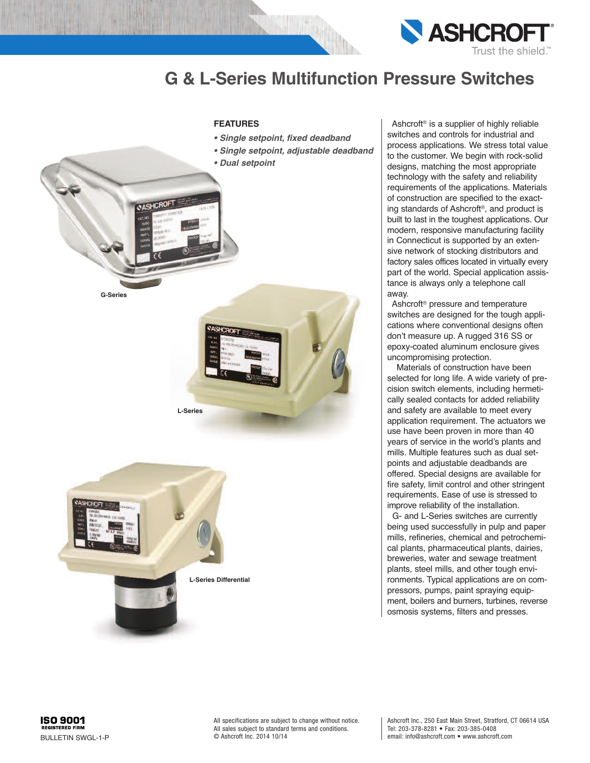



**L-Series Differential**

Ashcroft ® is a supplier of highly reliable switches and controls for industrial and process applications. We stress total value to the customer. We begin with rock-solid designs, matching the most appropriate technology with the safety and reliability requirements of the applications. Materials of construction are specified to the exacting standards of Ashcroft ®, and product is built to last in the toughest applications. Our modern, responsive manufacturing facility in Connecticut is supported by an extensive network of stocking distributors and factory sales offices located in virtually every part of the world. Special application assistance is always only a telephone call away.

Ashcroft ® pressure and temperature switches are designed for the tough applications where conventional designs often don't measure up. A rugged 316 SS or epoxy-coated aluminum enclosure gives uncompromising protection.

Materials of construction have been selected for long life. A wide variety of precision switch elements, including hermetically sealed contacts for added reliability and safety are available to meet every application requirement. The actuators we use have been proven in more than 40 years of service in the world's plants and mills. Multiple features such as dual setpoints and adjustable deadbands are offered. Special designs are available for fire safety, limit control and other stringent requirements. Ease of use is stressed to improve reliability of the installation.

G- and L-Series switches are currently being used successfully in pulp and paper mills, refineries, chemical and petrochemical plants, pharmaceutical plants, dairies, breweries, water and sewage treatment plants, steel mills, and other tough environments. Typical applications are on compressors, pumps, paint spraying equipment, boilers and burners, turbines, reverse osmosis systems, filters and presses.



All specifications are subject to change without notice. All sales subject to standard terms and conditions. © Ashcroft Inc. 2014 10/14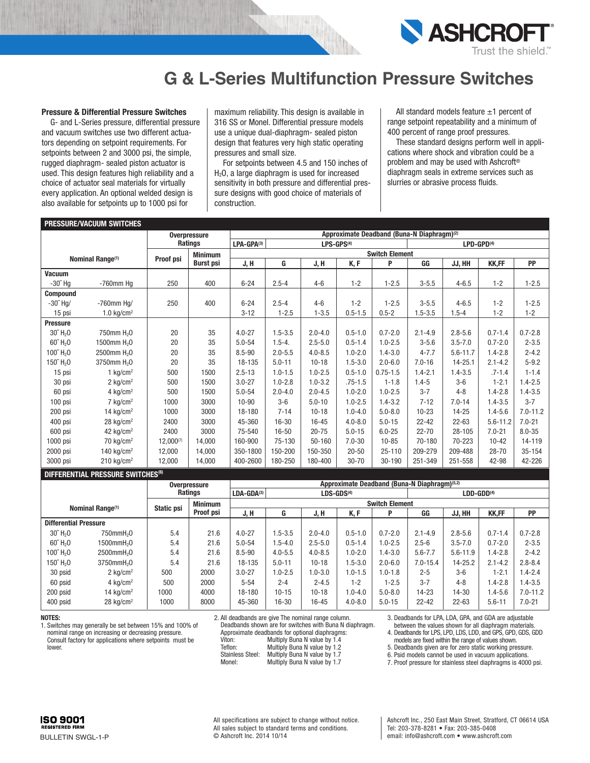

#### **Pressure & Differential Pressure Switches**

G- and L-Series pressure, differential pressure and vacuum switches use two different actuators depending on setpoint requirements. For setpoints between 2 and 3000 psi, the simple, rugged diaphragm- sealed piston actuator is used. This design features high reliability and a choice of actuator seal materials for virtually every application. An optional welded design is also available for setpoints up to 1000 psi for

maximum reliability. This design is available in 316 SS or Monel. Differential pressure models use a unique dual-diaphragm- sealed piston design that features very high static operating pressures and small size.

For setpoints between 4.5 and 150 inches of H<sub>2</sub>O, a large diaphragm is used for increased sensitivity in both pressure and differential pressure designs with good choice of materials of construction.

All standard models feature  $\pm 1$  percent of range setpoint repeatability and a minimum of 400 percent of range proof pressures.

These standard designs perform well in applications where shock and vibration could be a problem and may be used with Ashcroft ® diaphragm seals in extreme services such as slurries or abrasive process fluids.

|                               | <b>PRESSURE/VACUUM SWITCHES</b> |                  |                     |                                      |             |             |             |                                                        |                        |              |              |              |
|-------------------------------|---------------------------------|------------------|---------------------|--------------------------------------|-------------|-------------|-------------|--------------------------------------------------------|------------------------|--------------|--------------|--------------|
|                               |                                 |                  | <b>Overpressure</b> |                                      |             |             |             | Approximate Deadband (Buna-N Diaphragm) <sup>(2)</sup> |                        |              |              |              |
|                               |                                 |                  | Ratings             | LPA-GPA(3)<br>LPS-GPS <sup>(4)</sup> |             |             |             |                                                        | LPD-GPD <sup>(4)</sup> |              |              |              |
|                               | Nominal Range <sup>(1)</sup>    | <b>Proof psi</b> | <b>Minimum</b>      | <b>Switch Element</b>                |             |             |             |                                                        |                        |              |              |              |
|                               |                                 |                  | <b>Burst psi</b>    | J, H                                 | G           | J, H        | K, F        | P                                                      | GG                     | JJ, HH       | <b>KK,FF</b> | PP           |
| Vacuum                        |                                 |                  |                     |                                      |             |             |             |                                                        |                        |              |              |              |
| $-30^{\prime\prime}$ Hq       | $-760$ mm Hg                    | 250              | 400                 | $6 - 24$                             | $2.5 - 4$   | $4 - 6$     | $1 - 2$     | $1 - 2.5$                                              | $3 - 5.5$              | $4 - 6.5$    | $1 - 2$      | $1 - 2.5$    |
| <b>Compound</b>               |                                 |                  |                     |                                      |             |             |             |                                                        |                        |              |              |              |
| $-30^{\circ}$ Hg/             | -760mm Ha/                      | 250              | 400                 | $6 - 24$                             | $2.5 - 4$   | $4 - 6$     | $1 - 2$     | $1 - 2.5$                                              | $3 - 5.5$              | $4 - 6.5$    | $1 - 2$      | $1 - 2.5$    |
| 15 psi                        | 1.0 $kg/cm2$                    |                  |                     | $3 - 12$                             | $1 - 2.5$   | $1 - 3.5$   | $0.5 - 1.5$ | $0.5 - 2$                                              | $1.5 - 3.5$            | $1.5 - 4$    | $1 - 2$      | $1 - 2$      |
| <b>Pressure</b>               |                                 |                  |                     |                                      |             |             |             |                                                        |                        |              |              |              |
| $30^{\circ}$ H <sub>2</sub> O | 750mm H <sub>2</sub> 0          | 20               | 35                  | $4.0 - 27$                           | $1.5 - 3.5$ | $2.0 - 4.0$ | $0.5 - 1.0$ | $0.7 - 2.0$                                            | $2.1 - 4.9$            | $2.8 - 5.6$  | $0.7 - 1.4$  | $0.7 - 2.8$  |
| $60^{\circ}$ H <sub>2</sub> O | 1500mm H <sub>2</sub> 0         | 20               | 35                  | $5.0 - 54$                           | $1.5 - 4.$  | $2.5 - 5.0$ | $0.5 - 1.4$ | $1.0 - 2.5$                                            | $3 - 5.6$              | $3.5 - 7.0$  | $0.7 - 2.0$  | $2 - 3.5$    |
| 100'' H <sub>2</sub> 0        | 2500mm H <sub>2</sub> 0         | 20               | 35                  | 8.5-90                               | $2.0 - 5.5$ | $4.0 - 8.5$ | $1.0 - 2.0$ | $1.4 - 3.0$                                            | $4 - 7.7$              | $5.6 - 11.7$ | $1.4 - 2.8$  | $2 - 4.2$    |
| 150" H <sub>2</sub> O         | 3750mm H <sub>2</sub> 0         | 20               | 35                  | 18-135                               | $5.0 - 11$  | $10 - 18$   | $1.5 - 3.0$ | $2.0 - 6.0$                                            | $7.0 - 16$             | $14 - 25.1$  | $2.1 - 4.2$  | $5 - 9.2$    |
| 15 psi                        | 1 $kg/cm2$                      | 500              | 1500                | $2.5 - 13$                           | $1.0 - 1.5$ | $1.0 - 2.5$ | $0.5 - 1.0$ | $0.75 - 1.5$                                           | $1.4 - 2.1$            | $1.4 - 3.5$  | $.7 - 1.4$   | $1 - 1.4$    |
| 30 psi                        | 2 $kg/cm2$                      | 500              | 1500                | $3.0 - 27$                           | $1.0 - 2.8$ | $1.0 - 3.2$ | $.75 - 1.5$ | $1 - 1.8$                                              | $1.4 - 5$              | $3-6$        | $1 - 2.1$    | $1.4 - 2.5$  |
| 60 psi                        | 4 $kg/cm2$                      | 500              | 1500                | $5.0 - 54$                           | $2.0 - 4.0$ | $2.0 - 4.5$ | $1.0 - 2.0$ | $1.0 - 2.5$                                            | $3 - 7$                | $4 - 8$      | $1.4 - 2.8$  | $1.4 - 3.5$  |
| 100 psi                       | $7 \text{ kg/cm}^2$             | 1000             | 3000                | $10 - 90$                            | $3-6$       | $5.0 - 10$  | $1.0 - 2.5$ | $1.4 - 3.2$                                            | $7 - 12$               | $7.0 - 14$   | $1.4 - 3.5$  | $3 - 7$      |
| 200 psi                       | 14 kg/cm <sup>2</sup>           | 1000             | 3000                | 18-180                               | $7 - 14$    | $10 - 18$   | $1.0 - 4.0$ | $5.0 - 8.0$                                            | $10 - 23$              | $14 - 25$    | $1.4 - 5.6$  | $7.0 - 11.2$ |
| 400 psi                       | $28$ kg/cm <sup>2</sup>         | 2400             | 3000                | 45-360                               | $16 - 30$   | $16 - 45$   | $4.0 - 8.0$ | $5.0 - 15$                                             | $22 - 42$              | $22 - 63$    | $5.6 - 11.2$ | $7.0 - 21$   |
| 600 psi                       | 42 $kg/cm2$                     | 2400             | 3000                | 75-540                               | $16 - 50$   | $20 - 75$   | $5.0 - 15$  | $6.0 - 25$                                             | $22 - 70$              | 28-105       | $7.0 - 21$   | $8.0 - 35$   |
| 1000 psi                      | $70 \text{ kg/cm}^2$            | $12,000^{(7)}$   | 14.000              | 160-900                              | 75-130      | $50 - 160$  | $7.0 - 30$  | $10 - 85$                                              | 70-180                 | 70-223       | $10 - 42$    | 14-119       |
| 2000 psi                      | 140 $kg/cm2$                    | 12,000           | 14.000              | 350-1800                             | 150-200     | 150-350     | $20 - 50$   | $25 - 110$                                             | 209-279                | 209-488      | $28 - 70$    | 35-154       |
| 3000 psi                      | $210 \text{ kg/cm}^2$           | 12,000           | 14.000              | 400-2600                             | 180-250     | 180-400     | $30 - 70$   | 30-190                                                 | 251-349                | 251-558      | 42-98        | 42-226       |

#### **DIFFERENTIAL PRESSURE SWITCHES(6)**

|                              | PILLENTIAE LINEVOULE VIILVILLO |                        |                     |                                              |                       |             |              |             |              |              |              |              |              |  |
|------------------------------|--------------------------------|------------------------|---------------------|----------------------------------------------|-----------------------|-------------|--------------|-------------|--------------|--------------|--------------|--------------|--------------|--|
|                              |                                |                        | <b>Overpressure</b> | Approximate Deadband (Buna-N Diaphragm)(5,2) |                       |             |              |             |              |              |              |              |              |  |
|                              |                                |                        | <b>Ratings</b>      | LDA-GDA(3)                                   |                       |             | $LDS-GDS(4)$ |             | $LDD-GDD(4)$ |              |              |              |              |  |
|                              |                                |                        |                     | <b>Minimum</b>                               | <b>Switch Element</b> |             |              |             |              |              |              |              |              |  |
|                              | Nominal Range <sup>(1)</sup>   |                        | Static psi          | Proof psi                                    | J, H                  | G           | J, H         | K, F        | P            | GG           | JJ. HH       | <b>KK,FF</b> | <b>PP</b>    |  |
| <b>Differential Pressure</b> |                                |                        |                     |                                              |                       |             |              |             |              |              |              |              |              |  |
|                              | $30^{\circ}$ H <sub>2</sub> O  | 750mmH <sub>2</sub> 0  | 5.4                 | 21.6                                         | $4.0 - 27$            | $.5 - 3.5$  | $2.0 - 4.0$  | $0.5 - 1.0$ | $0.7 - 2.0$  | $2.1 - 4.9$  | $2.8 - 5.6$  | $0.7 - 1.4$  | $0.7 - 2.8$  |  |
|                              | $60^{\circ}$ H <sub>2</sub> O  | 1500mmH <sub>2</sub> 0 | 5.4                 | 21.6                                         | $5.0 - 54$            | $.5 - 4.0$  | $2.5 - 5.0$  | $0.5 - 1.4$ | $1.0 - 2.5$  | $2.5 - 6$    | $3.5 - 7.0$  | $0.7 - 2.0$  | $2 - 3.5$    |  |
|                              | $100^{\circ}$ H <sub>2</sub> O | 2500mmH <sub>2</sub> 0 | 5.4                 | 21.6                                         | 8.5-90                | $4.0 - 5.5$ | $4.0 - 8.5$  | $0.0 - 2.0$ | $1.4 - 3.0$  | $5.6 - 7.7$  | $5.6 - 11.9$ | $1.4 - 2.8$  | $2 - 4.2$    |  |
|                              | 150" H <sub>2</sub> O          | 3750mmH <sub>2</sub> 0 | 5.4                 | 21.6                                         | 18-135                | $5.0 - 11$  | $10 - 18$    | $.5 - 3.0$  | $2.0 - 6.0$  | $7.0 - 15.4$ | $14 - 25.2$  | $2.1 - 4.2$  | $2.8 - 8.4$  |  |
|                              | 30 psid                        | $2 \text{ ka/cm}^2$    | 500                 | 2000                                         | $3.0 - 27$            | $.0 - 2.5$  | $1.0 - 3.0$  | $.0 - 1.5$  | $1.0 - 1.8$  | $2 - 5$      | $3-6$        | $1 - 2.1$    | $1.4 - 2.4$  |  |
|                              | 60 psid                        | 4 $kq/cm^2$            | 500                 | 2000                                         | $5 - 54$              | $2 - 4$     | $2 - 4.5$    | $1 - 2$     | $1 - 2.5$    | $3 - 7$      | $4 - 8$      | $1.4 - 2.8$  | $1.4 - 3.5$  |  |
|                              | 200 psid                       | 14 $\text{ka/cm}^2$    | 1000                | 4000                                         | 18-180                | $10 - 15$   | $10 - 18$    | 0.4.0       | $5.0 - 8.0$  | $14 - 23$    | $14 - 30$    | $1.4 - 5.6$  | $7.0 - 11.2$ |  |
|                              | 400 psid                       | 28 $kg/cm2$            | 1000                | 8000                                         | 45-360                | 16-30       | $16 - 45$    | $4.0 - 8.0$ | $5.0 - 15$   | $22 - 42$    | $22 - 63$    | $5.6 - 11$   | $7.0 - 21$   |  |
|                              |                                |                        |                     |                                              |                       |             |              |             |              |              |              |              |              |  |

#### **NOTES:**

1. Switches may generally be set between 15% and 100% of nominal range on increasing or decreasing pressure. Consult factory for applications where setpoints must be lower.

2. All deadbands are give The nominal range column. Deadbands shown are for switches with Buna N diaphragm. Approximate deadbands for optional diaphragms:<br>Viton: Multiply Buna N value by 14 Viton: Multiply Buna N value by 1.4<br>Teflon: Multiply Buna N value by 1.2

Teflon: Multiply Buna N value by 1.2<br>Stainless Steel: Multiply Buna N value by 1.7 Stainless Steel: Multiply Buna N value by 1.7<br>Monel: Multiply Buna N value by 1.7 Multiply Buna N value by 1.7

3. Deadbands for LPA, LDA, GPA, and GDA are adjustable between the values shown for all diaphragm materials.

4. Deadbands for LPS, LPD, LDS, LDD, and GPS, GPD, GDS, GDD models are fixed within the range of values shown.

5. Deadbands given are for zero static working pressure. 6. Psid models cannot be used in vacuum applications.

7. Proof pressure for stainless steel diaphragms is 4000 psi.

All specifications are subject to change without notice. All sales subject to standard terms and conditions. © Ashcroft Inc. 2014 10/14

Ashcroft Inc., 250 East Main Street, Stratford, CT 06614 USA Tel: 203-378-8281 • Fax: 203-385-0408 email: info@ashcroft.com • www.ashcroft.com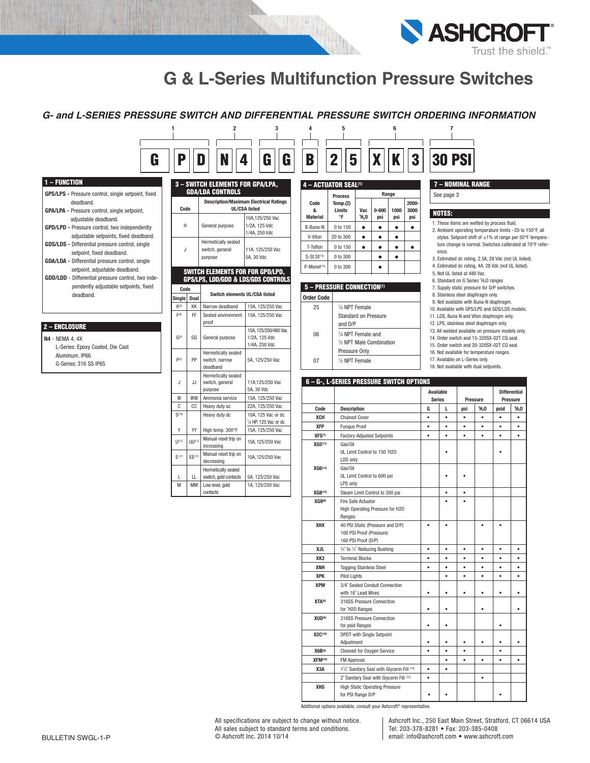

### *G- and L-SERIES PRESSURE SWITCH AND DIFFERENTIAL PRESSURE SWITCH ORDERING INFORMATION*

**1 2 3 4 5 6 7**

| 1 – FUNCTION                                                                                            |
|---------------------------------------------------------------------------------------------------------|
| GPS/LPS - Pressure control, single setpoint, fixed<br>deadhand                                          |
| <b>GPA/LPA - Pressure control, single setpoint,</b><br>adjustable deadband.                             |
| <b>GPD/LPD - Pressure control, two independently</b><br>adiustable setpoints, fixed deadband,           |
| <b>GDS/LDS</b> - Differential pressure control, single<br>setpoint, fixed deadband.                     |
| <b>GDA/LDA</b> - Differential pressure control, single<br>setpoint, adjustable deadband.                |
| GDD/LDD - Differential pressure control, two inde-<br>pendently adjustable setpoints, fixed<br>deadhand |
|                                                                                                         |

### **2 – ENCLOSURE**

**N4** - NEMA 4, 4X L-Series: Epoxy Coated, Die Cast Aluminum, IP66 G-Series: 316 SS IP65

|        |                         | <b>3 - SWITCH ELEMENTS FOR GPA/LPA,</b> |                                                                       | 4 - ACTUATOR SEAL <sup>(1)</sup> |                                          |                      |                                   |           |                                              |                        | 7 - NOMINAL                                  |                  |                                |  |  |                          |  |  |  |                                              |  |  |
|--------|-------------------------|-----------------------------------------|-----------------------------------------------------------------------|----------------------------------|------------------------------------------|----------------------|-----------------------------------|-----------|----------------------------------------------|------------------------|----------------------------------------------|------------------|--------------------------------|--|--|--------------------------|--|--|--|----------------------------------------------|--|--|
|        | <b>GDA/LDA CONTROLS</b> |                                         |                                                                       | <b>Process</b>                   |                                          |                      | Range                             |           |                                              | See page 3             |                                              |                  |                                |  |  |                          |  |  |  |                                              |  |  |
| Code   |                         |                                         | <b>Description/Maximum Electrical Ratings</b><br><b>UL/CSA listed</b> | Code<br>8                        | Temp. $(2)$<br>Limits                    | Vac                  | $0 - 600$                         | 1000      | 2000<br>3000                                 |                        | <b>NOTES:</b>                                |                  |                                |  |  |                          |  |  |  |                                              |  |  |
| H      |                         | General purpose                         | 10A, 125/250 Vac<br>1/2A, 125 Vdc                                     | <b>Material</b>                  | °F                                       | Ή,0                  | psi                               | psi       | psi                                          |                        | 1. These items are v                         |                  |                                |  |  |                          |  |  |  |                                              |  |  |
|        |                         |                                         | 1/4A, 250 Vdc                                                         | B-Buna-N                         | 0 to 150                                 | $\bullet$            | $\bullet$                         | $\bullet$ | ٠                                            |                        | 2. Ambient operatine                         |                  |                                |  |  |                          |  |  |  |                                              |  |  |
|        |                         | Hermetically sealed                     |                                                                       | V-Viton                          | 20 to 300                                | $\bullet$            | $\bullet$                         | $\bullet$ |                                              |                        | styles. Setpoint sl<br>ture change is no     |                  |                                |  |  |                          |  |  |  |                                              |  |  |
| J      |                         | switch, general                         | 11A, 125/250 Vac                                                      | T-Teflon                         | 0 to 150                                 | $\bullet$            | $\bullet$                         | $\bullet$ | $\bullet$                                    |                        | ence.                                        |                  |                                |  |  |                          |  |  |  |                                              |  |  |
|        |                         | purpose                                 | 5A, 30 Vdc                                                            | S-St.St(13)                      | $0$ to $300$                             |                      | $\bullet$                         | $\bullet$ |                                              |                        | 3. Estimated dc ratir                        |                  |                                |  |  |                          |  |  |  |                                              |  |  |
|        |                         | SWITCH ELEMENTS FOR FOR GPD/LPD,        |                                                                       | P-Monel(13)                      | 0 to 300                                 |                      | $\bullet$                         |           |                                              |                        | 4. Estimated dc ratir                        |                  |                                |  |  |                          |  |  |  |                                              |  |  |
|        |                         |                                         | <b>GPS/LPS, LDD/GDD &amp; LDS/GDS CONTROLS</b>                        |                                  |                                          |                      |                                   |           |                                              |                        | 5. Not UL listed at 4<br>6. Standard on G Se |                  |                                |  |  |                          |  |  |  |                                              |  |  |
| Code   |                         |                                         |                                                                       |                                  | 5 - PRESSURE CONNECTION(1)               |                      |                                   |           |                                              |                        | 7. Supply static pres                        |                  |                                |  |  |                          |  |  |  |                                              |  |  |
| Single | Dual                    | Switch elements UL/CSA listed           |                                                                       | <b>Order Code</b>                |                                          |                      |                                   |           |                                              |                        | 8. Stainless steel dia                       |                  |                                |  |  |                          |  |  |  |                                              |  |  |
| K(4)   | KK                      | Narrow deadband                         | 15A, 125/250 Vac                                                      | 25                               | 1/4 NPT Female                           |                      |                                   |           |                                              |                        | 9. Not available with                        |                  |                                |  |  |                          |  |  |  |                                              |  |  |
| F(4)   | FF                      | Sealed environment<br>15A, 125/250 Vac  |                                                                       |                                  |                                          |                      | Standard on Pressure              |           | 10. Available with GP<br>11. LDS, Buna N and |                        |                                              |                  |                                |  |  |                          |  |  |  |                                              |  |  |
|        | proof                   |                                         |                                                                       |                                  | and D/P                                  |                      |                                   |           |                                              | 12. LPS. stainless ste |                                              |                  |                                |  |  |                          |  |  |  |                                              |  |  |
| G(5)   |                         |                                         | 15A. 125/250/480 Vac                                                  | 06                               | 1/4 NPT Female and                       |                      |                                   |           |                                              |                        | 13. All welded availab                       |                  |                                |  |  |                          |  |  |  |                                              |  |  |
|        |                         |                                         |                                                                       |                                  |                                          |                      |                                   |           |                                              |                        | GG                                           | General purpose  | 1/2A, 125 Vdc<br>1/4A, 250 Vdc |  |  | 1/2 NPT Male Combination |  |  |  | 14. Order switch and<br>15. Order switch and |  |  |
|        |                         | Hermetically sealed                     |                                                                       |                                  | Pressure Only                            |                      |                                   |           |                                              |                        | 16. Not available for t                      |                  |                                |  |  |                          |  |  |  |                                              |  |  |
| P(3)   | PP                      | switch, narrow                          | 5A, 125/250 Vac                                                       | 07                               | 1/2 NPT Female                           |                      |                                   |           |                                              | 17. Available on L-Se  |                                              |                  |                                |  |  |                          |  |  |  |                                              |  |  |
|        |                         | deadband                                |                                                                       |                                  |                                          |                      |                                   |           |                                              |                        | 18. Not available with                       |                  |                                |  |  |                          |  |  |  |                                              |  |  |
|        |                         | Hermetically sealed                     |                                                                       |                                  |                                          |                      |                                   |           |                                              |                        |                                              |                  |                                |  |  |                          |  |  |  |                                              |  |  |
| J      | JJ                      | switch, general<br>purpose              | 11A,125/250 Vac<br>5A, 30 Vdc                                         |                                  | 6 - G-, L-SERIES PRESSURE SWITCH OPTIONS |                      |                                   |           |                                              |                        |                                              |                  |                                |  |  |                          |  |  |  |                                              |  |  |
| W      | <b>WW</b>               | Ammonia service                         | 15A. 125/250 Vac                                                      |                                  |                                          |                      |                                   |           |                                              | <b>Available</b>       |                                              |                  |                                |  |  |                          |  |  |  |                                              |  |  |
| C      | CC.                     | Heavy duty ac                           | 22A, 125/250 Vac                                                      |                                  |                                          |                      |                                   |           |                                              | <b>Series</b><br>G     | г                                            | Pre              |                                |  |  |                          |  |  |  |                                              |  |  |
| S(18)  |                         | Heavy duty dc                           | 10A, 125 Vac or dc                                                    | Code<br><b>XCH</b>               | <b>Description</b>                       | <b>Chained Cover</b> |                                   |           |                                              | $\bullet$              | $\bullet$                                    | psi<br>$\bullet$ |                                |  |  |                          |  |  |  |                                              |  |  |
|        |                         |                                         | 1/8 HP, 125 Vac or dc                                                 | <b>XFP</b>                       | <b>Fungus Proof</b>                      |                      |                                   |           |                                              | $\bullet$              | ٠                                            | $\bullet$        |                                |  |  |                          |  |  |  |                                              |  |  |
| Y      | YY                      | High temp. 300°F                        | 15A, 125/250 Vac                                                      | XFS(7)                           |                                          |                      | <b>Factory-Adjusted Setpoints</b> |           |                                              | $\bullet$              | $\bullet$                                    | $\bullet$        |                                |  |  |                          |  |  |  |                                              |  |  |
| 1(17)  | $UU$ <sup>(17)</sup>    | Manual reset trip on                    | 15A, 125/250 Vac                                                      | XG5(11)                          | Gas/Oil                                  |                      |                                   |           |                                              |                        |                                              |                  |                                |  |  |                          |  |  |  |                                              |  |  |
|        |                         | increasing                              |                                                                       |                                  |                                          |                      | UL Limit Control to 150 "H2O      |           |                                              |                        |                                              |                  |                                |  |  |                          |  |  |  |                                              |  |  |
| F(17)  | EF(17)                  | Manual reset trip on<br>decreasing      | 15A, 125/250 Vac                                                      |                                  | LDS only                                 |                      |                                   |           |                                              |                        |                                              |                  |                                |  |  |                          |  |  |  |                                              |  |  |
|        |                         | Hermetically sealed                     |                                                                       | XG6(13)                          | Gas/Oil                                  |                      |                                   |           |                                              |                        |                                              |                  |                                |  |  |                          |  |  |  |                                              |  |  |
| L      | Ш                       | switch, gold contacts                   | 5A. 125/250 Vac                                                       |                                  |                                          |                      | UL Limit Control to 600 psi       |           |                                              |                        |                                              |                  |                                |  |  |                          |  |  |  |                                              |  |  |
| M      | <b>MM</b>               | Low level, gold                         | 1A. 125/250 Vac                                                       |                                  | LPS only                                 |                      |                                   |           |                                              |                        |                                              |                  |                                |  |  |                          |  |  |  |                                              |  |  |
|        |                         | contacts                                |                                                                       | XG8(12)                          |                                          |                      | Steam Limit Control to 300 psi    |           |                                              |                        | $\bullet$                                    |                  |                                |  |  |                          |  |  |  |                                              |  |  |

| D                            | IJ<br>Z.                         |            | A                | n           | a                    |
|------------------------------|----------------------------------|------------|------------------|-------------|----------------------|
|                              | 4 - ACTUATOR SEAL <sup>(1)</sup> |            |                  |             |                      |
|                              | <b>Process</b>                   |            |                  | Range       |                      |
| Code<br>&<br><b>Material</b> | Temp. $(2)$<br>Limits<br>°F      | Vac<br>Ή,0 | $0 - 600$<br>psi | 1000<br>psi | 2000-<br>3000<br>psi |
| B-Buna-N                     | 0 to 150                         |            |                  |             |                      |
| V-Viton                      | 20 to 300                        |            |                  |             |                      |
| T-Teflon                     | 0 to 150                         |            |                  |             |                      |
| S-St.St(13)                  | 0 to 300                         |            |                  |             |                      |
| P-Monel(13)                  | 0 to 300                         |            |                  |             |                      |
|                              |                                  |            |                  |             |                      |

#### **5 – PRESSURE CONNECTION(1) Ord**

| Order Code |                            |
|------------|----------------------------|
| 25         | 1/4 NPT Female             |
|            | Standard on Pressure       |
|            | and D/P                    |
| 06         | 1/4 NPT Female and         |
|            | 1/2 NPT Male Combination   |
|            | Pressure Only              |
| 07         | 1/ <sub>2</sub> NPT Female |
|            |                            |

### **7 – NOMINAL RANGE**

#### **NOTES:**

- 1. These items are wetted by process fluid.
- 2. Ambient operating temperature limits –20 to 150°F, all styles. Setpoint shift of  $\pm 1\%$  of range per 50°F temperature change is normal. Switches calibrated at 70°F reference.
- 3. Estimated dc rating, 2.5A, 28 Vdc (not UL listed).
- 4. Estimated dc rating, 4A, 28 Vdc (not UL listed).
- 5. Not UL listed at 480 Vac.
- 6. Standard on G Series ˝H2O ranges
- 7. Supply static pressure for D/P switches.
- 8. Stainless steel diaphragm only.
- 9. Not available with Buna-N diaphragm. 10. Available with GPS/LPS and GDS/LDS models.
- 11. LDS, Buna N and Viton diaphragm only.
- 12. LPS, stainless steel diaphragm only.
- 13. All welded available on pressure models only.
- 14. Order switch and 15-320SX-02T CG seal.
- 15. Order switch and 20-320SX-02T CG seal. 16. Not available for temperature ranges.
- 17. Available on L-Series only.
- 18. Not available with dual setpoints.

# **6 – G-, L-SERIES PRESSURE SWITCH OPTIONS**

|                    |                                                                                     |           | Available<br><b>Series</b> |           | <b>Pressure</b> |           | <b>Differential</b><br>Pressure |
|--------------------|-------------------------------------------------------------------------------------|-----------|----------------------------|-----------|-----------------|-----------|---------------------------------|
| Code               | <b>Description</b>                                                                  | G         | L                          | psi       | Ή,0             | psid      | Ή,0                             |
| XCH                | <b>Chained Cover</b>                                                                | ٠         | ٠                          | ٠         | $\bullet$       | ٠         | ٠                               |
| <b>XFP</b>         | <b>Fungus Proof</b>                                                                 | ٠         | ٠                          | ٠         | ٠               | $\bullet$ | ٠                               |
| XFS(7)             | Factory-Adjusted Setpoints                                                          | $\bullet$ | $\bullet$                  | $\bullet$ | $\bullet$       | $\bullet$ | ٠                               |
| XG5(11)            | Gas/Oil<br>UL Limit Control to 150 "H2O<br>LDS only                                 |           |                            |           |                 | ٠         |                                 |
| <b>XG6(13)</b>     | Gas/Oil<br>UL Limit Control to 600 psi<br>LPS only                                  |           | ٠                          |           |                 |           |                                 |
| XG8(12)            | Steam Limit Control to 300 psi                                                      |           | $\bullet$                  | $\bullet$ |                 |           |                                 |
| $XG9^{(8)}$        | Fire Safe Actuator<br>High Operating Pressure for H2O<br>Ranges:                    |           |                            |           |                 |           |                                 |
| XHX                | 40 PSI Static (Pressure and D/P)<br>100 PSI Proof (Pressure)<br>160 PSI Proof (D/P) | ٠         | ٠                          |           | ٠               | ٠         |                                 |
| <b>XJL</b>         | 3/4" to 1/2" Reducing Bushing                                                       | $\bullet$ | ۰                          | ۰         | $\bullet$       | $\bullet$ | ٠                               |
| XK3                | <b>Terminal Blocks</b>                                                              | ă         | ٠                          | ٠         | ٠               | ٠         |                                 |
| XNH                | <b>Tagging Stainless Steel</b>                                                      | $\bullet$ | ٠                          | ٠         | ٠               |           |                                 |
| <b>XPK</b>         | <b>Pilot Lights</b>                                                                 |           | ٠                          | ٠         | ٠               | ٠         | ٠                               |
| <b>XPM</b>         | 3/4" Sealed Conduit Connection<br>with 16" Lead Wires                               | ٠         | ٠                          | $\bullet$ | ٠               | ٠         |                                 |
| XTA(6)             | 316SS Pressure Connection<br>for "H2O Ranges                                        | $\bullet$ | ٠                          |           | ٠               |           |                                 |
| XUD <sup>(6)</sup> | 316SS Pressure Connection<br>for psid Ranges                                        | $\bullet$ | ٠                          |           |                 | ٠         |                                 |
| X2C(10)            | <b>DPDT</b> with Single Setpoint<br>Adjustment                                      | ٠         | ٠                          | ٠         | ٠               | ė         |                                 |
| <b>X6B(9)</b>      | Cleaned for Oxygen Service                                                          | $\bullet$ | ٠                          |           |                 |           |                                 |
| <b>XFM(16)</b>     | <b>FM Approval</b>                                                                  |           | ۰                          | ۰         | ۰               | ٠         | ٠                               |
| X3A                | 11/2" Sanitary Seal with Glycerin Fill (14)                                         | ٠         | ٠                          |           |                 |           |                                 |
|                    | 2" Sanitary Seal with Glycerin Fill (15)                                            | ٠         |                            |           | $\bullet$       |           |                                 |
| <b>XHS</b>         | <b>High Static Operating Pressure</b><br>for PSI Range D/P                          |           |                            |           |                 |           |                                 |

Additional options available, consult your Ashcroft ® representative.

All specifications are subject to change without notice. All sales subject to standard terms and conditions. © Ashcroft Inc. 2014 10/14

Ashcroft Inc., 250 East Main Street, Stratford, CT 06614 USA Tel: 203-378-8281 • Fax: 203-385-0408 email: info@ashcroft.com • www.ashcroft.com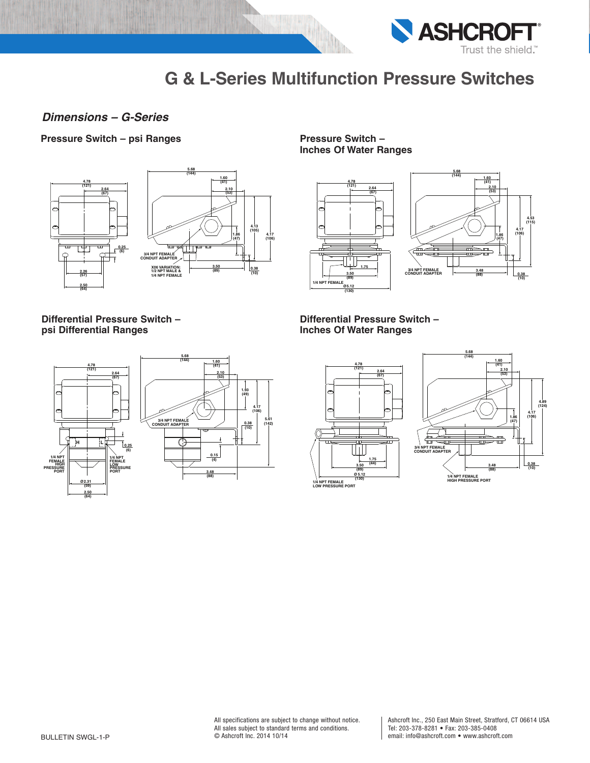

## *Dimensions – G-Series*

### **Pressure Switch – psi Ranges Pressure Switch –**



**Differential Pressure Switch – psi Differential Ranges**



**Inches Of Water Ranges**



**Differential Pressure Switch – Inches Of Water Ranges**



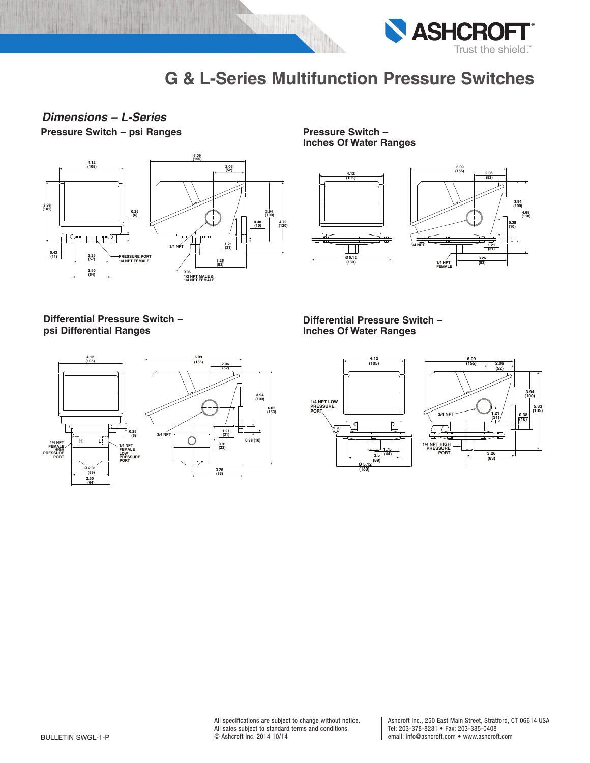

# **Pressure Switch – psi Ranges Pressure Switch –** *Dimensions – L-Series*



**Inches Of Water Ranges**



### **Differential Pressure Switch – psi Differential Ranges**



**Differential Pressure Switch – Inches Of Water Ranges**